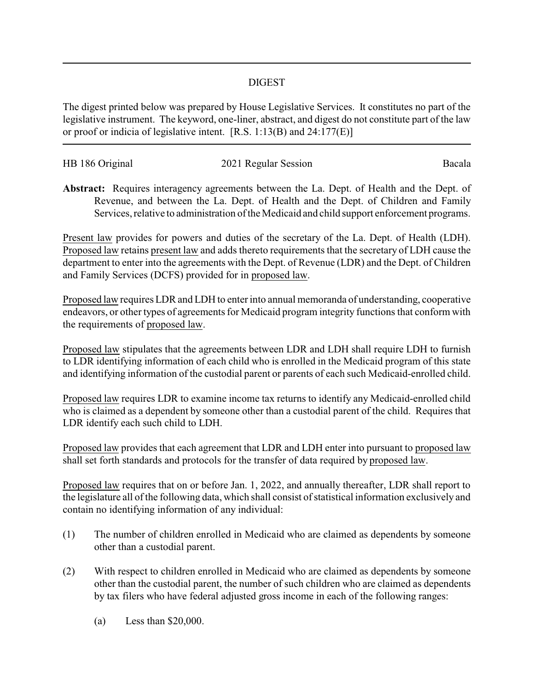## DIGEST

The digest printed below was prepared by House Legislative Services. It constitutes no part of the legislative instrument. The keyword, one-liner, abstract, and digest do not constitute part of the law or proof or indicia of legislative intent. [R.S. 1:13(B) and 24:177(E)]

| HB 186 Original | 2021 Regular Session | Bacala |
|-----------------|----------------------|--------|
|                 |                      |        |

**Abstract:** Requires interagency agreements between the La. Dept. of Health and the Dept. of Revenue, and between the La. Dept. of Health and the Dept. of Children and Family Services, relative to administration of the Medicaid and child support enforcement programs.

Present law provides for powers and duties of the secretary of the La. Dept. of Health (LDH). Proposed law retains present law and adds thereto requirements that the secretary of LDH cause the department to enter into the agreements with the Dept. of Revenue (LDR) and the Dept. of Children and Family Services (DCFS) provided for in proposed law.

Proposed law requires LDR and LDH to enter into annual memoranda of understanding, cooperative endeavors, or other types of agreements for Medicaid program integrity functions that conform with the requirements of proposed law.

Proposed law stipulates that the agreements between LDR and LDH shall require LDH to furnish to LDR identifying information of each child who is enrolled in the Medicaid program of this state and identifying information of the custodial parent or parents of each such Medicaid-enrolled child.

Proposed law requires LDR to examine income tax returns to identify any Medicaid-enrolled child who is claimed as a dependent by someone other than a custodial parent of the child. Requires that LDR identify each such child to LDH.

Proposed law provides that each agreement that LDR and LDH enter into pursuant to proposed law shall set forth standards and protocols for the transfer of data required by proposed law.

Proposed law requires that on or before Jan. 1, 2022, and annually thereafter, LDR shall report to the legislature all of the following data, which shall consist of statistical information exclusively and contain no identifying information of any individual:

- (1) The number of children enrolled in Medicaid who are claimed as dependents by someone other than a custodial parent.
- (2) With respect to children enrolled in Medicaid who are claimed as dependents by someone other than the custodial parent, the number of such children who are claimed as dependents by tax filers who have federal adjusted gross income in each of the following ranges:
	- (a) Less than \$20,000.